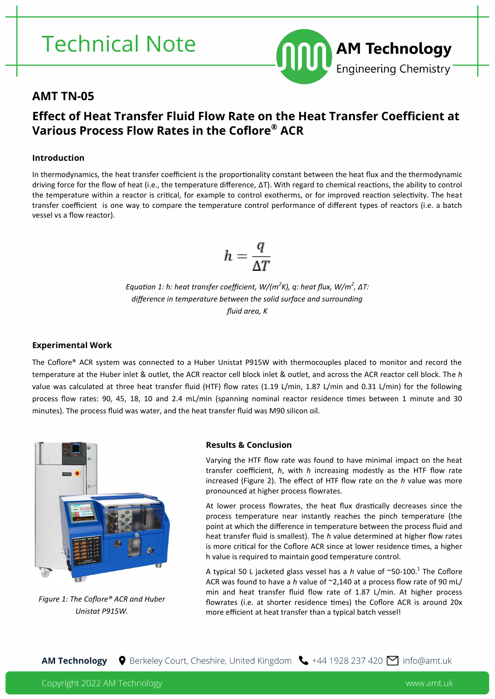# **Technical Note**



### **AMT TN-05**

## **Effect of Heat Transfer Fluid Flow Rate on the Heat Transfer Coefficient at Various Process Flow Rates in the Coflore® ACR**

### **Introduction**

In thermodynamics, the heat transfer coefficient is the proportionality constant between the heat flux and the thermodynamic driving force for the flow of heat (i.e., the temperature difference, ΔT). With regard to chemical reactions, the ability to control the temperature within a reactor is critical, for example to control exotherms, or for improved reaction selectivity. The heat transfer coefficient is one way to compare the temperature control performance of different types of reactors (i.e. a batch vessel vs a flow reactor).

$$
h=\frac{q}{\Delta T}
$$

*Equation 1: h: heat transfer coefficient, W/(m<sup>2</sup> K), q: heat flux, W/m<sup>2</sup> , ΔT: difference in temperature between the solid surface and surrounding fluid area, K*

#### **Experimental Work**

The Coflore® ACR system was connected to a Huber Unistat P915W with thermocouples placed to monitor and record the temperature at the Huber inlet & outlet, the ACR reactor cell block inlet & outlet, and across the ACR reactor cell block. The *h* value was calculated at three heat transfer fluid (HTF) flow rates (1.19 L/min, 1.87 L/min and 0.31 L/min) for the following process flow rates: 90, 45, 18, 10 and 2.4 mL/min (spanning nominal reactor residence times between 1 minute and 30 minutes). The process fluid was water, and the heat transfer fluid was M90 silicon oil.



*Figure 1: The Coflore® ACR and Huber Unistat P915W.*

#### **Results & Conclusion**

Varying the HTF flow rate was found to have minimal impact on the heat transfer coefficient, *h*, with *h* increasing modestly as the HTF flow rate increased (Figure 2). The effect of HTF flow rate on the *h* value was more pronounced at higher process flowrates.

At lower process flowrates, the heat flux drastically decreases since the process temperature near instantly reaches the pinch temperature (the point at which the difference in temperature between the process fluid and heat transfer fluid is smallest). The *h* value determined at higher flow rates is more critical for the Coflore ACR since at lower residence times, a higher h value is required to maintain good temperature control.

A typical 50 L jacketed glass vessel has a h value of ~50-100.<sup>1</sup> The Coflore ACR was found to have a *h* value of ~2,140 at a process flow rate of 90 mL/ min and heat transfer fluid flow rate of 1.87 L/min. At higher process flowrates (i.e. at shorter residence times) the Coflore ACR is around 20x more efficient at heat transfer than a typical batch vessel!

♦ Berkeley Court, Cheshire, United Kingdom <a> +44 1928 237 420 <a></a> info@amt.uk **AM Technology**